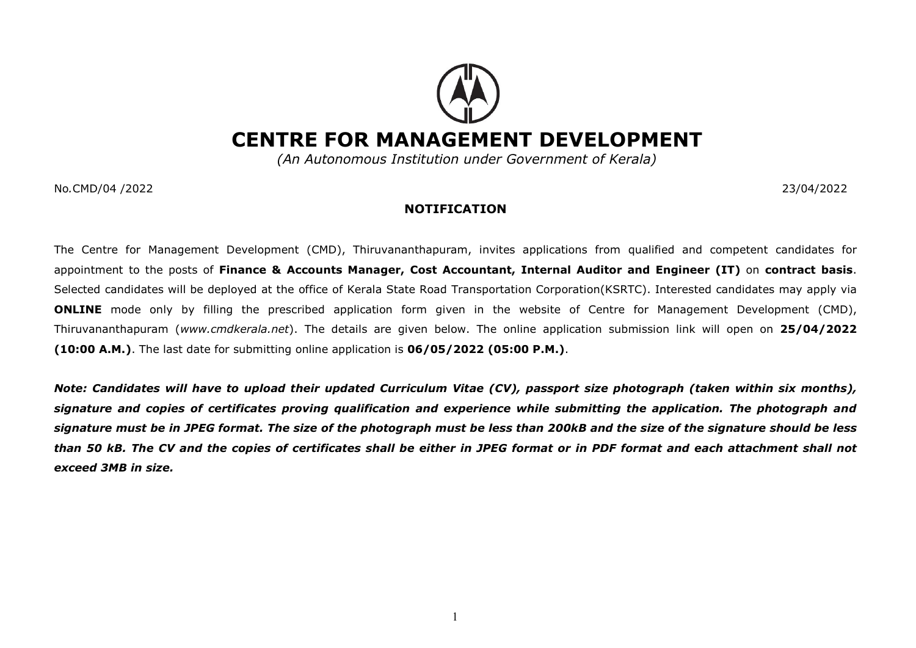## CENTRE FOR MANAGEMENT DEVELOPMENT

(An Autonomous Institution under Government of Kerala)

No.CMD/04 /2022 23/04/2022

## NOTIFICATION

The Centre for Management Development (CMD), Thiruvananthapuram, invites applications from qualified and competent candidates for appointment to the posts of Finance & Accounts Manager, Cost Accountant, Internal Auditor and Engineer (IT) on contract basis. Selected candidates will be deployed at the office of Kerala State Road Transportation Corporation(KSRTC). Interested candidates may apply via ONLINE mode only by filling the prescribed application form given in the website of Centre for Management Development (CMD), Thiruvananthapuram (www.cmdkerala.net). The details are given below. The online application submission link will open on 25/04/2022 (10:00 A.M.). The last date for submitting online application is 06/05/2022 (05:00 P.M.).

Note: Candidates will have to upload their updated Curriculum Vitae (CV), passport size photograph (taken within six months), signature and copies of certificates proving qualification and experience while submitting the application. The photograph and signature must be in JPEG format. The size of the photograph must be less than 200kB and the size of the signature should be less than 50 kB. The CV and the copies of certificates shall be either in JPEG format or in PDF format and each attachment shall not exceed 3MB in size.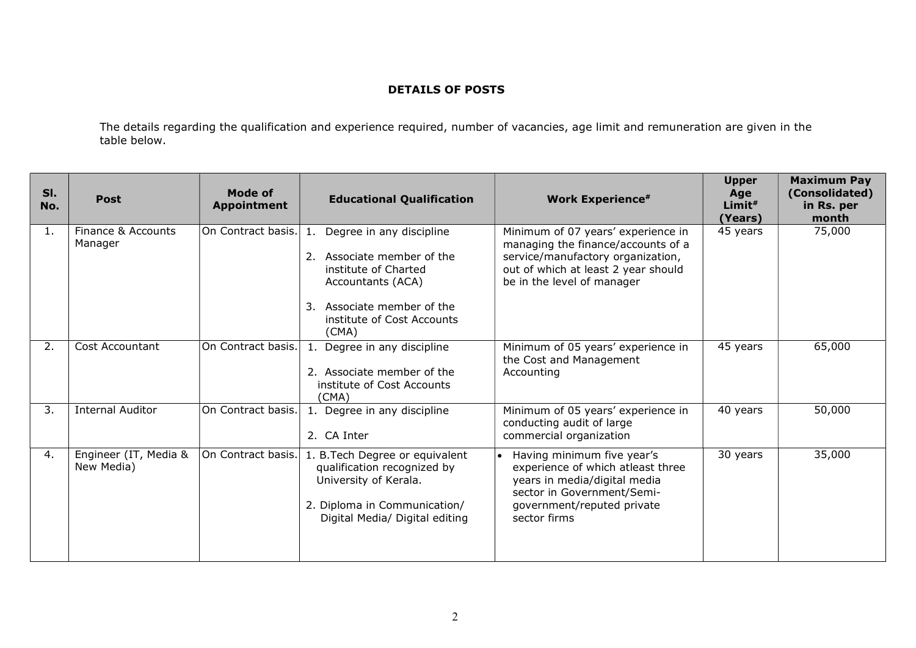## DETAILS OF POSTS

The details regarding the qualification and experience required, number of vacancies, age limit and remuneration are given in the table below.

| SI.<br>No. | <b>Post</b>                         | <b>Mode of</b><br><b>Appointment</b> | <b>Educational Qualification</b>                                                                                                                                                     | <b>Work Experience#</b>                                                                                                                                                            | <b>Upper</b><br>Age<br>Limit <sup>#</sup><br>(Years) | <b>Maximum Pay</b><br>(Consolidated)<br>in Rs. per<br>month |
|------------|-------------------------------------|--------------------------------------|--------------------------------------------------------------------------------------------------------------------------------------------------------------------------------------|------------------------------------------------------------------------------------------------------------------------------------------------------------------------------------|------------------------------------------------------|-------------------------------------------------------------|
| 1.         | Finance & Accounts<br>Manager       | On Contract basis.                   | Degree in any discipline<br>1.<br>Associate member of the<br>2.<br>institute of Charted<br>Accountants (ACA)<br>Associate member of the<br>3.<br>institute of Cost Accounts<br>(CMA) | Minimum of 07 years' experience in<br>managing the finance/accounts of a<br>service/manufactory organization,<br>out of which at least 2 year should<br>be in the level of manager | 45 years                                             | 75,000                                                      |
| 2.         | Cost Accountant                     | On Contract basis.                   | Degree in any discipline<br>$\mathbf{1}$ .<br>2. Associate member of the<br>institute of Cost Accounts<br>(CMA)                                                                      | Minimum of 05 years' experience in<br>the Cost and Management<br>Accounting                                                                                                        | 45 years                                             | 65,000                                                      |
| 3.         | <b>Internal Auditor</b>             | On Contract basis.                   | 1. Degree in any discipline<br>2. CA Inter                                                                                                                                           | Minimum of 05 years' experience in<br>conducting audit of large<br>commercial organization                                                                                         | 40 years                                             | 50,000                                                      |
| 4.         | Engineer (IT, Media &<br>New Media) | On Contract basis.                   | 1. B. Tech Degree or equivalent<br>qualification recognized by<br>University of Kerala.<br>2. Diploma in Communication/<br>Digital Media/ Digital editing                            | Having minimum five year's<br>experience of which atleast three<br>years in media/digital media<br>sector in Government/Semi-<br>government/reputed private<br>sector firms        | 30 years                                             | 35,000                                                      |